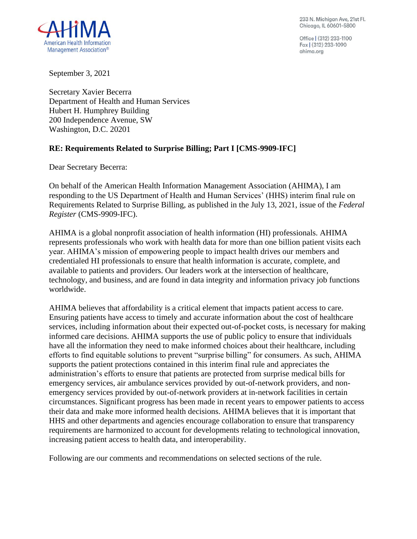233 N. Michigan Ave, 21st Fl. Chicago, IL 60601-5800

Office | (312) 233-1100 Fax (312) 233-1090 ahima.ora



September 3, 2021

Secretary Xavier Becerra Department of Health and Human Services Hubert H. Humphrey Building 200 Independence Avenue, SW Washington, D.C. 20201

### **RE: Requirements Related to Surprise Billing; Part I [CMS-9909-IFC]**

Dear Secretary Becerra:

On behalf of the American Health Information Management Association (AHIMA), I am responding to the US Department of Health and Human Services' (HHS) interim final rule on Requirements Related to Surprise Billing, as published in the July 13, 2021, issue of the *Federal Register* (CMS-9909-IFC).

AHIMA is a global nonprofit association of health information (HI) professionals. AHIMA represents professionals who work with health data for more than one billion patient visits each year. AHIMA's mission of empowering people to impact health drives our members and credentialed HI professionals to ensure that health information is accurate, complete, and available to patients and providers. Our leaders work at the intersection of healthcare, technology, and business, and are found in data integrity and information privacy job functions worldwide.

AHIMA believes that affordability is a critical element that impacts patient access to care. Ensuring patients have access to timely and accurate information about the cost of healthcare services, including information about their expected out-of-pocket costs, is necessary for making informed care decisions. AHIMA supports the use of public policy to ensure that individuals have all the information they need to make informed choices about their healthcare, including efforts to find equitable solutions to prevent "surprise billing" for consumers. As such, AHIMA supports the patient protections contained in this interim final rule and appreciates the administration's efforts to ensure that patients are protected from surprise medical bills for emergency services, air ambulance services provided by out-of-network providers, and nonemergency services provided by out-of-network providers at in-network facilities in certain circumstances. Significant progress has been made in recent years to empower patients to access their data and make more informed health decisions. AHIMA believes that it is important that HHS and other departments and agencies encourage collaboration to ensure that transparency requirements are harmonized to account for developments relating to technological innovation, increasing patient access to health data, and interoperability.

Following are our comments and recommendations on selected sections of the rule.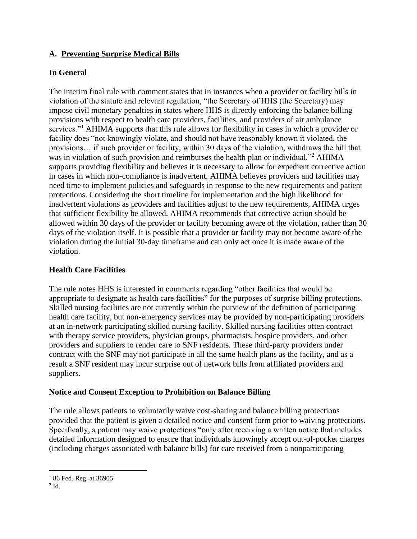# **A. Preventing Surprise Medical Bills**

# **In General**

The interim final rule with comment states that in instances when a provider or facility bills in violation of the statute and relevant regulation, "the Secretary of HHS (the Secretary) may impose civil monetary penalties in states where HHS is directly enforcing the balance billing provisions with respect to health care providers, facilities, and providers of air ambulance services."<sup>1</sup> AHIMA supports that this rule allows for flexibility in cases in which a provider or facility does "not knowingly violate, and should not have reasonably known it violated, the provisions… if such provider or facility, within 30 days of the violation, withdraws the bill that was in violation of such provision and reimburses the health plan or individual."<sup>2</sup> AHIMA supports providing flexibility and believes it is necessary to allow for expedient corrective action in cases in which non-compliance is inadvertent. AHIMA believes providers and facilities may need time to implement policies and safeguards in response to the new requirements and patient protections. Considering the short timeline for implementation and the high likelihood for inadvertent violations as providers and facilities adjust to the new requirements, AHIMA urges that sufficient flexibility be allowed. AHIMA recommends that corrective action should be allowed within 30 days of the provider or facility becoming aware of the violation, rather than 30 days of the violation itself. It is possible that a provider or facility may not become aware of the violation during the initial 30-day timeframe and can only act once it is made aware of the violation.

## **Health Care Facilities**

The rule notes HHS is interested in comments regarding "other facilities that would be appropriate to designate as health care facilities" for the purposes of surprise billing protections. Skilled nursing facilities are not currently within the purview of the definition of participating health care facility, but non-emergency services may be provided by non-participating providers at an in-network participating skilled nursing facility. Skilled nursing facilities often contract with therapy service providers, physician groups, pharmacists, hospice providers, and other providers and suppliers to render care to SNF residents. These third-party providers under contract with the SNF may not participate in all the same health plans as the facility, and as a result a SNF resident may incur surprise out of network bills from affiliated providers and suppliers.

### **Notice and Consent Exception to Prohibition on Balance Billing**

The rule allows patients to voluntarily waive cost-sharing and balance billing protections provided that the patient is given a detailed notice and consent form prior to waiving protections. Specifically, a patient may waive protections "only after receiving a written notice that includes detailed information designed to ensure that individuals knowingly accept out-of-pocket charges (including charges associated with balance bills) for care received from a nonparticipating

 $186$  Fed. Reg. at 36905

 $2$  Id.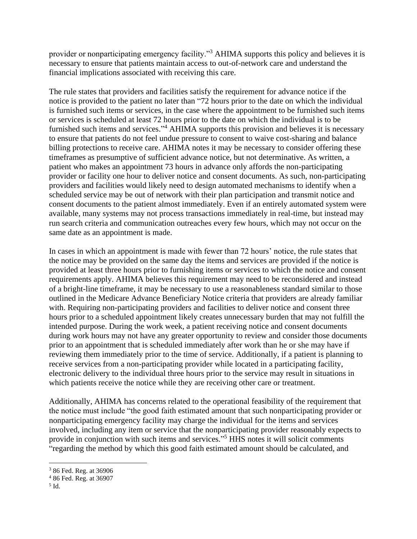provider or nonparticipating emergency facility."<sup>3</sup> AHIMA supports this policy and believes it is necessary to ensure that patients maintain access to out-of-network care and understand the financial implications associated with receiving this care.

The rule states that providers and facilities satisfy the requirement for advance notice if the notice is provided to the patient no later than "72 hours prior to the date on which the individual is furnished such items or services, in the case where the appointment to be furnished such items or services is scheduled at least 72 hours prior to the date on which the individual is to be furnished such items and services."<sup>4</sup> AHIMA supports this provision and believes it is necessary to ensure that patients do not feel undue pressure to consent to waive cost-sharing and balance billing protections to receive care. AHIMA notes it may be necessary to consider offering these timeframes as presumptive of sufficient advance notice, but not determinative. As written, a patient who makes an appointment 73 hours in advance only affords the non-participating provider or facility one hour to deliver notice and consent documents. As such, non-participating providers and facilities would likely need to design automated mechanisms to identify when a scheduled service may be out of network with their plan participation and transmit notice and consent documents to the patient almost immediately. Even if an entirely automated system were available, many systems may not process transactions immediately in real-time, but instead may run search criteria and communication outreaches every few hours, which may not occur on the same date as an appointment is made.

In cases in which an appointment is made with fewer than 72 hours' notice, the rule states that the notice may be provided on the same day the items and services are provided if the notice is provided at least three hours prior to furnishing items or services to which the notice and consent requirements apply. AHIMA believes this requirement may need to be reconsidered and instead of a bright-line timeframe, it may be necessary to use a reasonableness standard similar to those outlined in the Medicare Advance Beneficiary Notice criteria that providers are already familiar with. Requiring non-participating providers and facilities to deliver notice and consent three hours prior to a scheduled appointment likely creates unnecessary burden that may not fulfill the intended purpose. During the work week, a patient receiving notice and consent documents during work hours may not have any greater opportunity to review and consider those documents prior to an appointment that is scheduled immediately after work than he or she may have if reviewing them immediately prior to the time of service. Additionally, if a patient is planning to receive services from a non-participating provider while located in a participating facility, electronic delivery to the individual three hours prior to the service may result in situations in which patients receive the notice while they are receiving other care or treatment.

Additionally, AHIMA has concerns related to the operational feasibility of the requirement that the notice must include "the good faith estimated amount that such nonparticipating provider or nonparticipating emergency facility may charge the individual for the items and services involved, including any item or service that the nonparticipating provider reasonably expects to provide in conjunction with such items and services."<sup>5</sup> HHS notes it will solicit comments "regarding the method by which this good faith estimated amount should be calculated, and

<sup>3</sup> 86 Fed. Reg. at 36906

<sup>4</sup> 86 Fed. Reg. at 36907

<sup>5</sup> Id.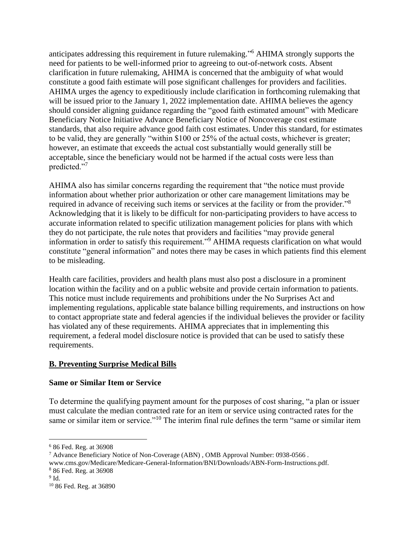anticipates addressing this requirement in future rulemaking." <sup>6</sup> AHIMA strongly supports the need for patients to be well-informed prior to agreeing to out-of-network costs. Absent clarification in future rulemaking, AHIMA is concerned that the ambiguity of what would constitute a good faith estimate will pose significant challenges for providers and facilities. AHIMA urges the agency to expeditiously include clarification in forthcoming rulemaking that will be issued prior to the January 1, 2022 implementation date. AHIMA believes the agency should consider aligning guidance regarding the "good faith estimated amount" with Medicare Beneficiary Notice Initiative Advance Beneficiary Notice of Noncoverage cost estimate standards, that also require advance good faith cost estimates. Under this standard, for estimates to be valid, they are generally "within \$100 or 25% of the actual costs, whichever is greater; however, an estimate that exceeds the actual cost substantially would generally still be acceptable, since the beneficiary would not be harmed if the actual costs were less than predicted."<sup>7</sup>

AHIMA also has similar concerns regarding the requirement that "the notice must provide information about whether prior authorization or other care management limitations may be required in advance of receiving such items or services at the facility or from the provider."<sup>8</sup> Acknowledging that it is likely to be difficult for non-participating providers to have access to accurate information related to specific utilization management policies for plans with which they do not participate, the rule notes that providers and facilities "may provide general information in order to satisfy this requirement."<sup>9</sup> AHIMA requests clarification on what would constitute "general information" and notes there may be cases in which patients find this element to be misleading.

Health care facilities, providers and health plans must also post a disclosure in a prominent location within the facility and on a public website and provide certain information to patients. This notice must include requirements and prohibitions under the No Surprises Act and implementing regulations, applicable state balance billing requirements, and instructions on how to contact appropriate state and federal agencies if the individual believes the provider or facility has violated any of these requirements. AHIMA appreciates that in implementing this requirement, a federal model disclosure notice is provided that can be used to satisfy these requirements.

### **B. Preventing Surprise Medical Bills**

#### **Same or Similar Item or Service**

To determine the qualifying payment amount for the purposes of cost sharing, "a plan or issuer must calculate the median contracted rate for an item or service using contracted rates for the same or similar item or service."<sup>10</sup> The interim final rule defines the term "same or similar item

<sup>7</sup> Advance Beneficiary Notice of Non-Coverage (ABN) , OMB Approval Number: 0938-0566 . www.cms.gov/Medicare/Medicare-General-Information/BNI/Downloads/ABN-Form-Instructions.pdf.

<sup>6</sup> 86 Fed. Reg. at 36908

<sup>8</sup> 86 Fed. Reg. at 36908

 $^9$  Id.

<sup>10</sup> 86 Fed. Reg. at 36890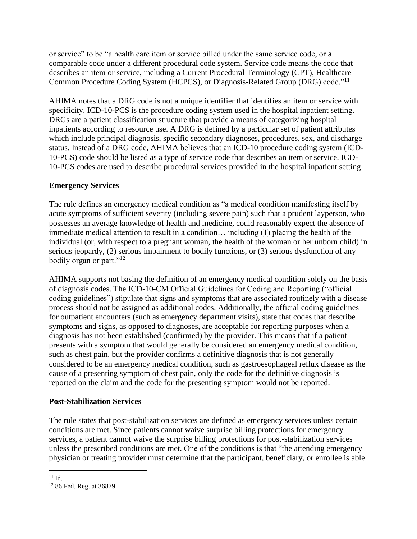or service" to be "a health care item or service billed under the same service code, or a comparable code under a different procedural code system. Service code means the code that describes an item or service, including a Current Procedural Terminology (CPT), Healthcare Common Procedure Coding System (HCPCS), or Diagnosis-Related Group (DRG) code."<sup>11</sup>

AHIMA notes that a DRG code is not a unique identifier that identifies an item or service with specificity. ICD-10-PCS is the procedure coding system used in the hospital inpatient setting. DRGs are a patient classification structure that provide a means of categorizing hospital inpatients according to resource use. A DRG is defined by a particular set of patient attributes which include principal diagnosis, specific secondary diagnoses, procedures, sex, and discharge status. Instead of a DRG code, AHIMA believes that an ICD-10 procedure coding system (ICD-10-PCS) code should be listed as a type of service code that describes an item or service. ICD-10-PCS codes are used to describe procedural services provided in the hospital inpatient setting.

### **Emergency Services**

The rule defines an emergency medical condition as "a medical condition manifesting itself by acute symptoms of sufficient severity (including severe pain) such that a prudent layperson, who possesses an average knowledge of health and medicine, could reasonably expect the absence of immediate medical attention to result in a condition… including (1) placing the health of the individual (or, with respect to a pregnant woman, the health of the woman or her unborn child) in serious jeopardy, (2) serious impairment to bodily functions, or (3) serious dysfunction of any bodily organ or part."<sup>12</sup>

AHIMA supports not basing the definition of an emergency medical condition solely on the basis of diagnosis codes. The ICD-10-CM Official Guidelines for Coding and Reporting ("official coding guidelines") stipulate that signs and symptoms that are associated routinely with a disease process should not be assigned as additional codes. Additionally, the official coding guidelines for outpatient encounters (such as emergency department visits), state that codes that describe symptoms and signs, as opposed to diagnoses, are acceptable for reporting purposes when a diagnosis has not been established (confirmed) by the provider. This means that if a patient presents with a symptom that would generally be considered an emergency medical condition, such as chest pain, but the provider confirms a definitive diagnosis that is not generally considered to be an emergency medical condition, such as gastroesophageal reflux disease as the cause of a presenting symptom of chest pain, only the code for the definitive diagnosis is reported on the claim and the code for the presenting symptom would not be reported.

### **Post-Stabilization Services**

The rule states that post-stabilization services are defined as emergency services unless certain conditions are met. Since patients cannot waive surprise billing protections for emergency services, a patient cannot waive the surprise billing protections for post-stabilization services unless the prescribed conditions are met. One of the conditions is that "the attending emergency physician or treating provider must determine that the participant, beneficiary, or enrollee is able

 $11$  Id.

<sup>12</sup> 86 Fed. Reg. at 36879